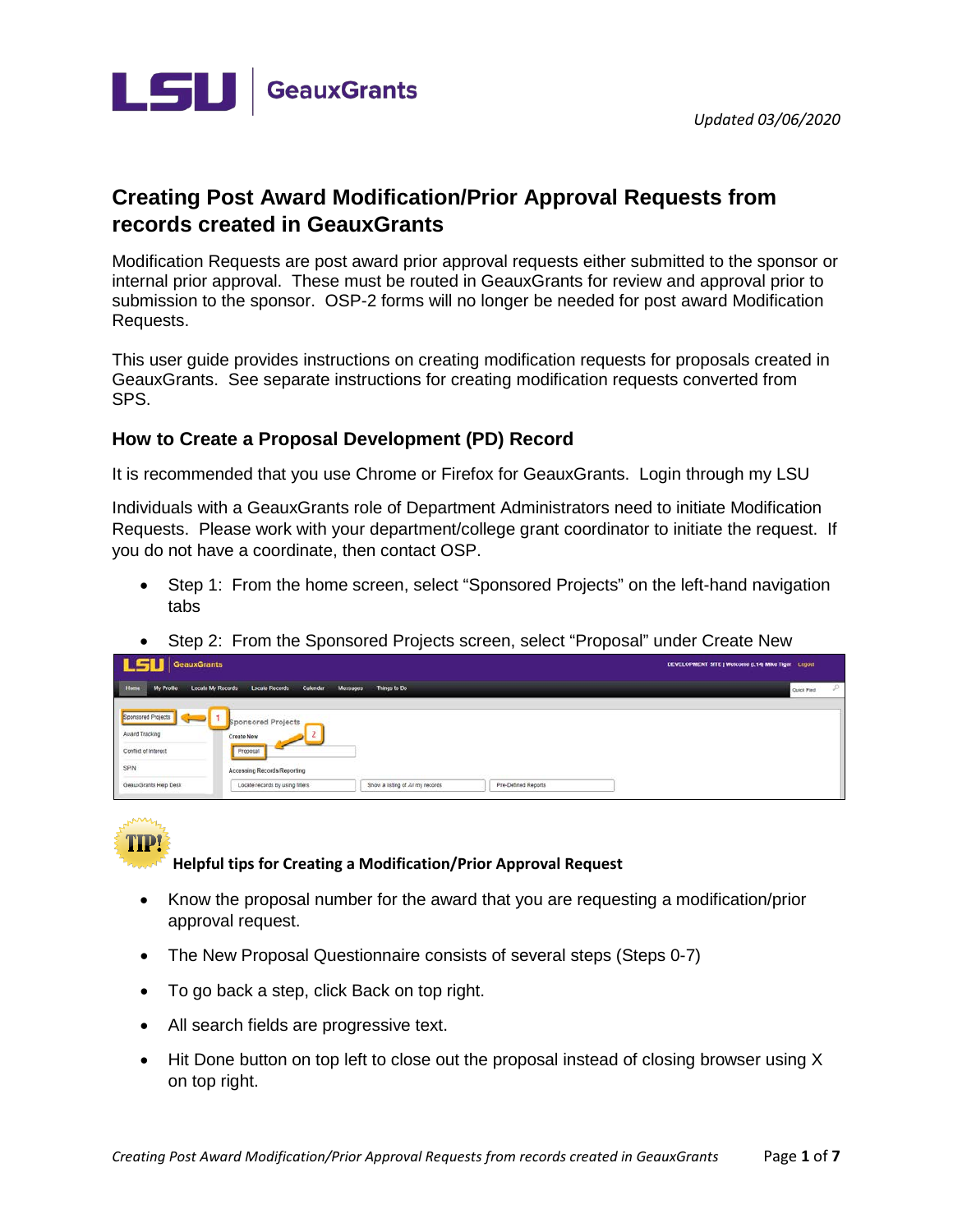



# **Creating Post Award Modification/Prior Approval Requests from records created in GeauxGrants**

Modification Requests are post award prior approval requests either submitted to the sponsor or internal prior approval. These must be routed in GeauxGrants for review and approval prior to submission to the sponsor. OSP-2 forms will no longer be needed for post award Modification Requests.

This user guide provides instructions on creating modification requests for proposals created in GeauxGrants. See separate instructions for creating modification requests converted from SPS.

## **How to Create a Proposal Development (PD) Record**

It is recommended that you use Chrome or Firefox for GeauxGrants. Login through my LSU

Individuals with a GeauxGrants role of Department Administrators need to initiate Modification Requests. Please work with your department/college grant coordinator to initiate the request. If you do not have a coordinate, then contact OSP.

- Step 1: From the home screen, select "Sponsored Projects" on the left-hand navigation tabs
- Step 2: From the Sponsored Projects screen, select "Proposal" under Create New

| <b>LSU</b> GeauxGrants                                           |                                                        |                                  |                     | DEVELOPMENT SITE   Welcome (L14) Mike Tiger Logout |
|------------------------------------------------------------------|--------------------------------------------------------|----------------------------------|---------------------|----------------------------------------------------|
| Home<br>My Profile                                               | Locate My Records<br>Calendar<br><b>Locate Records</b> | Messages<br>Things to Do         |                     | s<br>Quick Find                                    |
| Sponsored Projects<br>$\overline{\phantom{a}}$<br>Award Tracking | Sponsored Projects<br>Create New                       |                                  |                     |                                                    |
| Conflict of Interest                                             | Proposal                                               |                                  |                     |                                                    |
| SPIN                                                             | <b>Accessing Records/Reporting</b>                     |                                  |                     |                                                    |
| GeauxGrants Help Desk                                            | Locate records by using filters                        | Show a listing of All my records | Pre-Defined Reports |                                                    |

TIPI

**Helpful tips for Creating a Modification/Prior Approval Request**

- Know the proposal number for the award that you are requesting a modification/prior approval request.
- The New Proposal Questionnaire consists of several steps (Steps 0-7)
- To go back a step, click Back on top right.
- All search fields are progressive text.
- Hit Done button on top left to close out the proposal instead of closing browser using X on top right.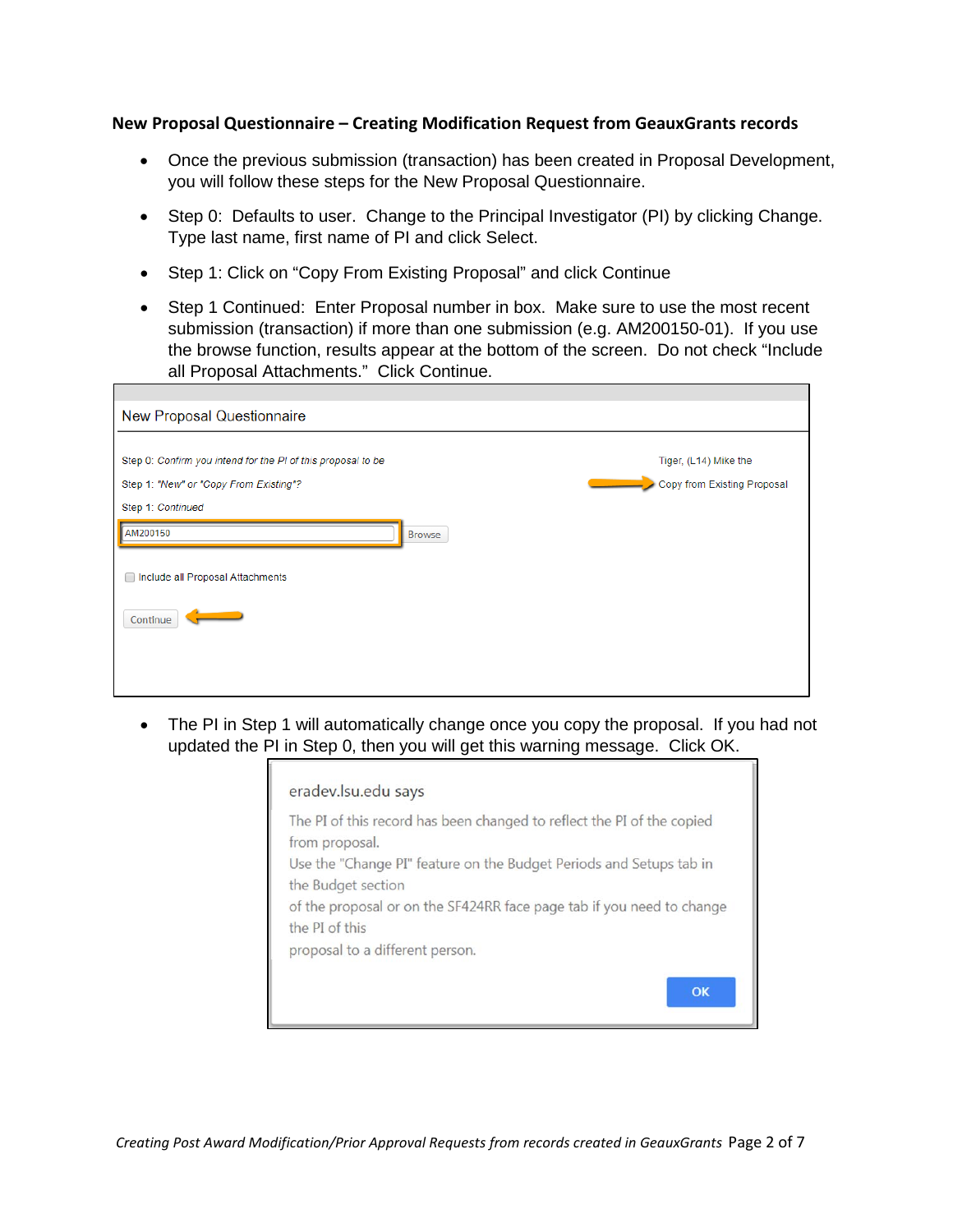#### **New Proposal Questionnaire – Creating Modification Request from GeauxGrants records**

- Once the previous submission (transaction) has been created in Proposal Development, you will follow these steps for the New Proposal Questionnaire.
- Step 0: Defaults to user. Change to the Principal Investigator (PI) by clicking Change. Type last name, first name of PI and click Select.
- Step 1: Click on "Copy From Existing Proposal" and click Continue
- Step 1 Continued: Enter Proposal number in box. Make sure to use the most recent submission (transaction) if more than one submission (e.g. AM200150-01). If you use the browse function, results appear at the bottom of the screen. Do not check "Include all Proposal Attachments." Click Continue.

| <b>New Proposal Questionnaire</b>                                                                      |                                                      |
|--------------------------------------------------------------------------------------------------------|------------------------------------------------------|
| Step 0: Confirm you intend for the PI of this proposal to be<br>Step 1: "New" or "Copy From Existing"? | Tiger, (L14) Mike the<br>Copy from Existing Proposal |
| Step 1: Continued<br>AM200150<br>Browse                                                                |                                                      |
| Include all Proposal Attachments                                                                       |                                                      |
| Continue                                                                                               |                                                      |
|                                                                                                        |                                                      |

• The PI in Step 1 will automatically change once you copy the proposal. If you had not updated the PI in Step 0, then you will get this warning message. Click OK.

| eradev.lsu.edu says                                                                       |
|-------------------------------------------------------------------------------------------|
| The PI of this record has been changed to reflect the PI of the copied<br>from proposal.  |
| Use the "Change PI" feature on the Budget Periods and Setups tab in<br>the Budget section |
| of the proposal or on the SF424RR face page tab if you need to change<br>the PI of this   |
| proposal to a different person.                                                           |
| $\alpha$                                                                                  |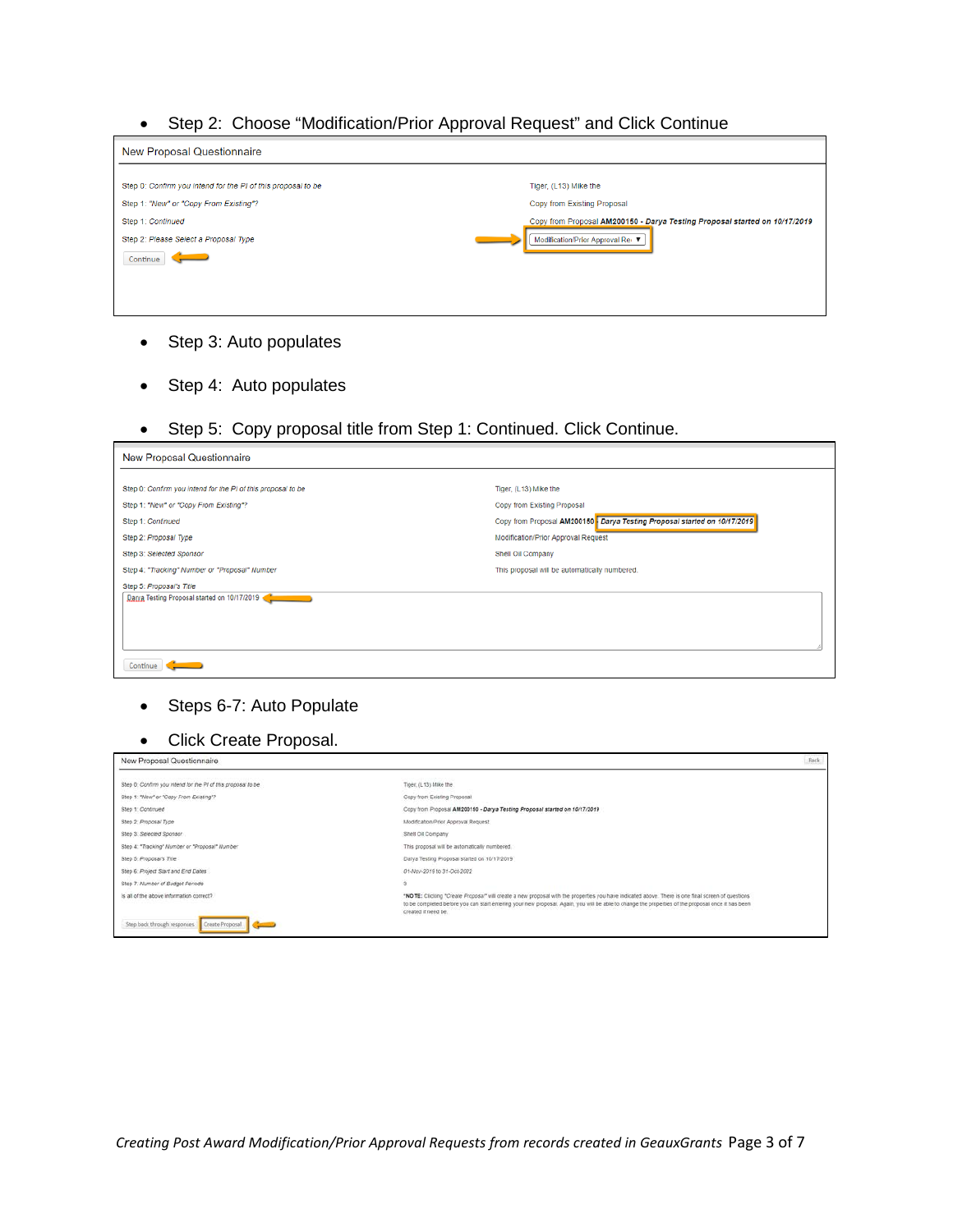• Step 2: Choose "Modification/Prior Approval Request" and Click Continue

| New Proposal Questionnaire                                                                                                                                                       |                                                                                                                                                                        |
|----------------------------------------------------------------------------------------------------------------------------------------------------------------------------------|------------------------------------------------------------------------------------------------------------------------------------------------------------------------|
| Step 0: Confirm you intend for the PI of this proposal to be<br>Step 1: "New" or "Copy From Existing"?<br>Step 1: Continued<br>Step 2: Please Select a Proposal Type<br>Continue | Tiger, (L13) Mike the<br>Copy from Existing Proposal<br>Copy from Proposal AM200150 - Darya Testing Proposal started on 10/17/2019<br>Modification/Prior Approval Re ▼ |

- Step 3: Auto populates
- Step 4: Auto populates
- Step 5: Copy proposal title from Step 1: Continued. Click Continue.

| New Proposal Questionnaire                                   |                                                                          |
|--------------------------------------------------------------|--------------------------------------------------------------------------|
| Step 0: Confirm you intend for the PI of this proposal to be | Tiger, (L13) Mike the                                                    |
| Step 1: "New" or "Copy From Existing"?                       | Copy from Existing Proposal                                              |
| Step 1: Continued                                            | Copy from Proposal AM200150 Darya Testing Proposal started on 10/17/2019 |
| Step 2: Proposal Type                                        | Modification/Prior Approval Request                                      |
| Step 3: Selected Sponsor                                     | Shell Oil Company                                                        |
| Step 4: "Tracking" Number or "Proposal" Number               | This proposal will be automatically numbered.                            |
| Step 5: Proposal's Title                                     |                                                                          |
| Darya Testing Proposal started on 10/17/2019                 |                                                                          |
|                                                              |                                                                          |
|                                                              |                                                                          |
|                                                              |                                                                          |
| Continue                                                     |                                                                          |

┑

- Steps 6-7: Auto Populate
- Click Create Proposal.

| New Proposal Questionnaire                                    |                                                                                                                                                                                                                                                                                                                                | Back |
|---------------------------------------------------------------|--------------------------------------------------------------------------------------------------------------------------------------------------------------------------------------------------------------------------------------------------------------------------------------------------------------------------------|------|
| Step 0: Continni you intend for the PI of this proposal to be | Tiger, (L13) Mike the                                                                                                                                                                                                                                                                                                          |      |
| Step 1: "New" or "Copy From Existing"?                        | Copy from Existing Proposal                                                                                                                                                                                                                                                                                                    |      |
| Step 1: Continued                                             | Copy from Proposal AM200150 - Darya Testing Proposal started on 10/17/2019                                                                                                                                                                                                                                                     |      |
| Step 2: Proposal Type                                         | Modification/Prior Approval Request                                                                                                                                                                                                                                                                                            |      |
| Step 3: Selected Sponsor                                      | Shell Oil Company                                                                                                                                                                                                                                                                                                              |      |
| Step 4: "Tracking" Number or "Proposal" Number                | This proposal will be automatically numbered.                                                                                                                                                                                                                                                                                  |      |
| Step 5: Proposal's Title                                      | Daiya Testing Proposal started on 10/17/2019                                                                                                                                                                                                                                                                                   |      |
| Step 6: Project Start and End Dates                           | 01-Nov-2019 to 31-Oct-2022                                                                                                                                                                                                                                                                                                     |      |
| Step 7: Number of Budget Periods                              |                                                                                                                                                                                                                                                                                                                                |      |
| is all of the above information correct?                      | "NOTE: Clicking "Create Proposal" will create a new proposal with the properties you have indicated above. There is one final screen of questions<br>to be completed before you can start entering your new proposal. Again, you will be able to change the properties of the proposal once it has been<br>created if need be. |      |
| Step back through responses<br>Create Proposal                |                                                                                                                                                                                                                                                                                                                                |      |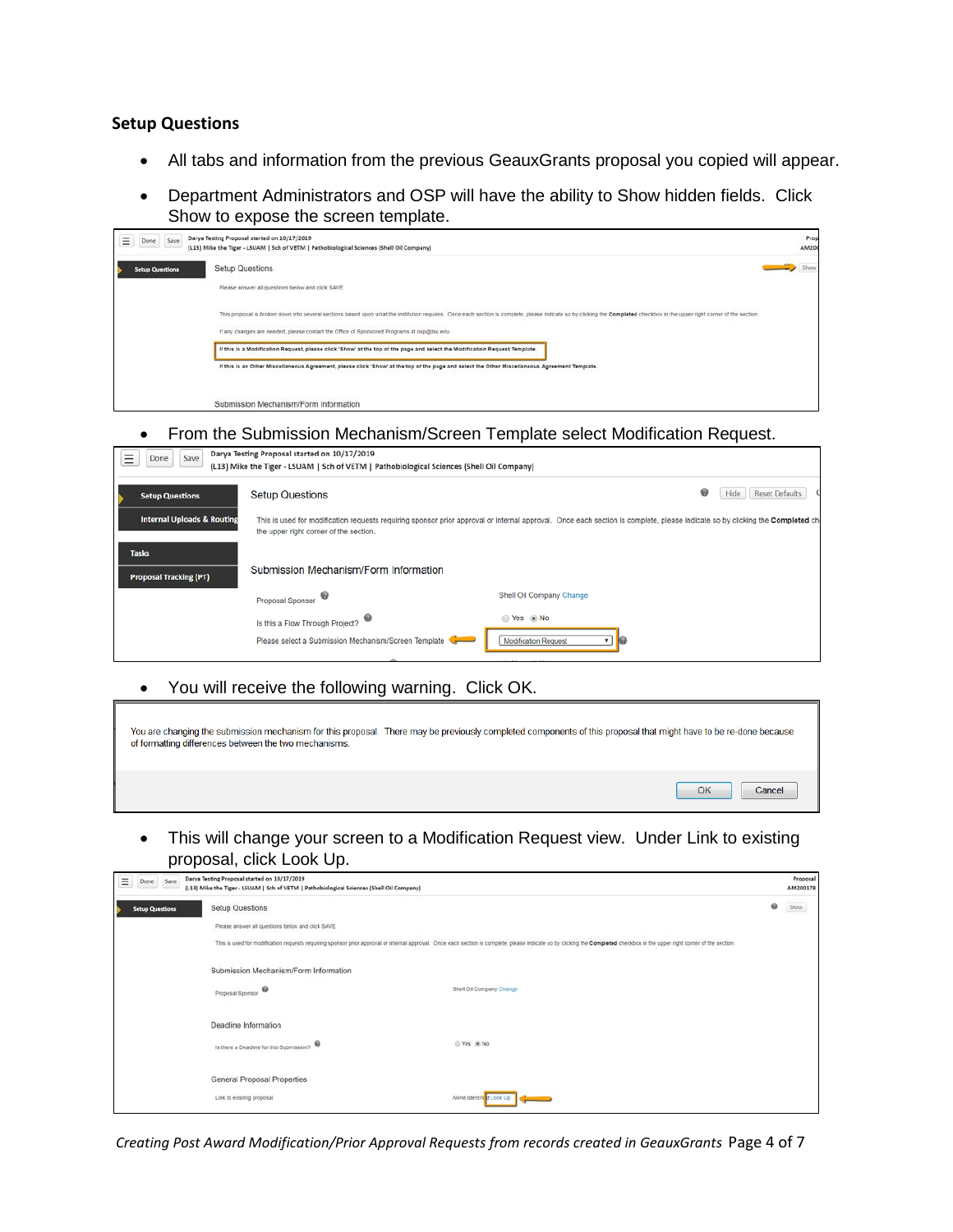#### **Setup Questions**

- All tabs and information from the previous GeauxGrants proposal you copied will appear.
- Department Administrators and OSP will have the ability to Show hidden fields. Click Show to expose the screen template.

| Done Save<br>Ξ         | Darya Testing Proposal started on 10/17/2019<br>(L13) Mike the Tiger - LSUAM   Sch of VETM   Pathobiological Sciences (Shell Oil Company)                                                                                   | Prop<br>AM200 |
|------------------------|-----------------------------------------------------------------------------------------------------------------------------------------------------------------------------------------------------------------------------|---------------|
| <b>Setup Questions</b> | Setup Questions                                                                                                                                                                                                             | Show          |
|                        | Please answer all questions below and click SAVE.                                                                                                                                                                           |               |
|                        | This proposal is broken down into several sections based upon what the institution requires. Once each section is complete, please indicate so by clicking the Completed checkbox in the upper right corner of the section. |               |
|                        | If any changes are needed, please contact the Office of Sponsored Programs at osp@lsu.edu.                                                                                                                                  |               |
|                        | If this is a Modification Request, please click 'Show' at the top of the page and select the Modification Request Template.                                                                                                 |               |
|                        | If this is an Other Miscellaneous Agreement, please click 'Show' at the top of the page and select the Other Miscellaneous Agreement Template.                                                                              |               |
|                        | Submission Mechanism/Form Information                                                                                                                                                                                       |               |

#### • From the Submission Mechanism/Screen Template select Modification Request.

| Save<br>Done                                  | Darya Testing Proposal started on 10/17/2019<br>(L13) Mike the Tiger - LSUAM   Sch of VETM   Pathobiological Sciences (Shell Oil Company)                                                                              |                                 |                                    |
|-----------------------------------------------|------------------------------------------------------------------------------------------------------------------------------------------------------------------------------------------------------------------------|---------------------------------|------------------------------------|
| <b>Setup Questions</b>                        | <b>Setup Questions</b>                                                                                                                                                                                                 |                                 | ❸<br><b>Reset Defaults</b><br>Hide |
| <b>Internal Uploads &amp; Routing</b>         | This is used for modification requests requiring sponsor prior approval or internal approval. Once each section is complete, please indicate so by clicking the Completed ch<br>the upper right corner of the section. |                                 |                                    |
| <b>Tasks</b><br><b>Proposal Tracking (PT)</b> | Submission Mechanism/Form Information                                                                                                                                                                                  |                                 |                                    |
|                                               | ♥<br>Proposal Sponsor                                                                                                                                                                                                  | Shell Oil Company Change        |                                    |
|                                               | Is this a Flow Through Project?<br>Please select a Submission Mechanism/Screen Template                                                                                                                                | Yes ONo<br>Modification Request |                                    |

• You will receive the following warning. Click OK.

| of formatting differences between the two mechanisms. | You are changing the submission mechanism for this proposal. There may be previously completed components of this proposal that might have to be re-done because |  |
|-------------------------------------------------------|------------------------------------------------------------------------------------------------------------------------------------------------------------------|--|
|                                                       | OK<br>Cancel                                                                                                                                                     |  |

• This will change your screen to a Modification Request view. Under Link to existing proposal, click Look Up.

| Ξ<br>Save<br>Done      | Darya Testing Proposal started on 10/17/2019<br>(L13) Mike the Tiger - LSUAM   Sch of VETM   Pathobiological Sciences (Shell Oil Company) |                                                                                                                                                                                                                              |   | Proposal<br>AM200178 |
|------------------------|-------------------------------------------------------------------------------------------------------------------------------------------|------------------------------------------------------------------------------------------------------------------------------------------------------------------------------------------------------------------------------|---|----------------------|
| <b>Setup Questions</b> | Setup Questions                                                                                                                           |                                                                                                                                                                                                                              | ⊛ | Show                 |
|                        | Please answer all questions below and click SAVE.                                                                                         |                                                                                                                                                                                                                              |   |                      |
|                        |                                                                                                                                           | This is used for modification requests requiring sponsor prior approval or internal approval. Once each section is complete, please indicate so by clicking the Completed checkbox in the upper right corner of the section. |   |                      |
|                        | Submission Mechanism/Form Information                                                                                                     |                                                                                                                                                                                                                              |   |                      |
|                        | Proposal Sponsor                                                                                                                          | Shell Oil Company Change                                                                                                                                                                                                     |   |                      |
|                        | Deadline Information                                                                                                                      |                                                                                                                                                                                                                              |   |                      |
|                        | ۰<br>Is there a Deadline for this Submission?                                                                                             | © Yes ® No                                                                                                                                                                                                                   |   |                      |
|                        | General Proposal Properties                                                                                                               |                                                                                                                                                                                                                              |   |                      |
|                        | Link to existing proposal                                                                                                                 | None Identific Look Up                                                                                                                                                                                                       |   |                      |

*Creating Post Award Modification/Prior Approval Requests from records created in GeauxGrants* Page 4 of 7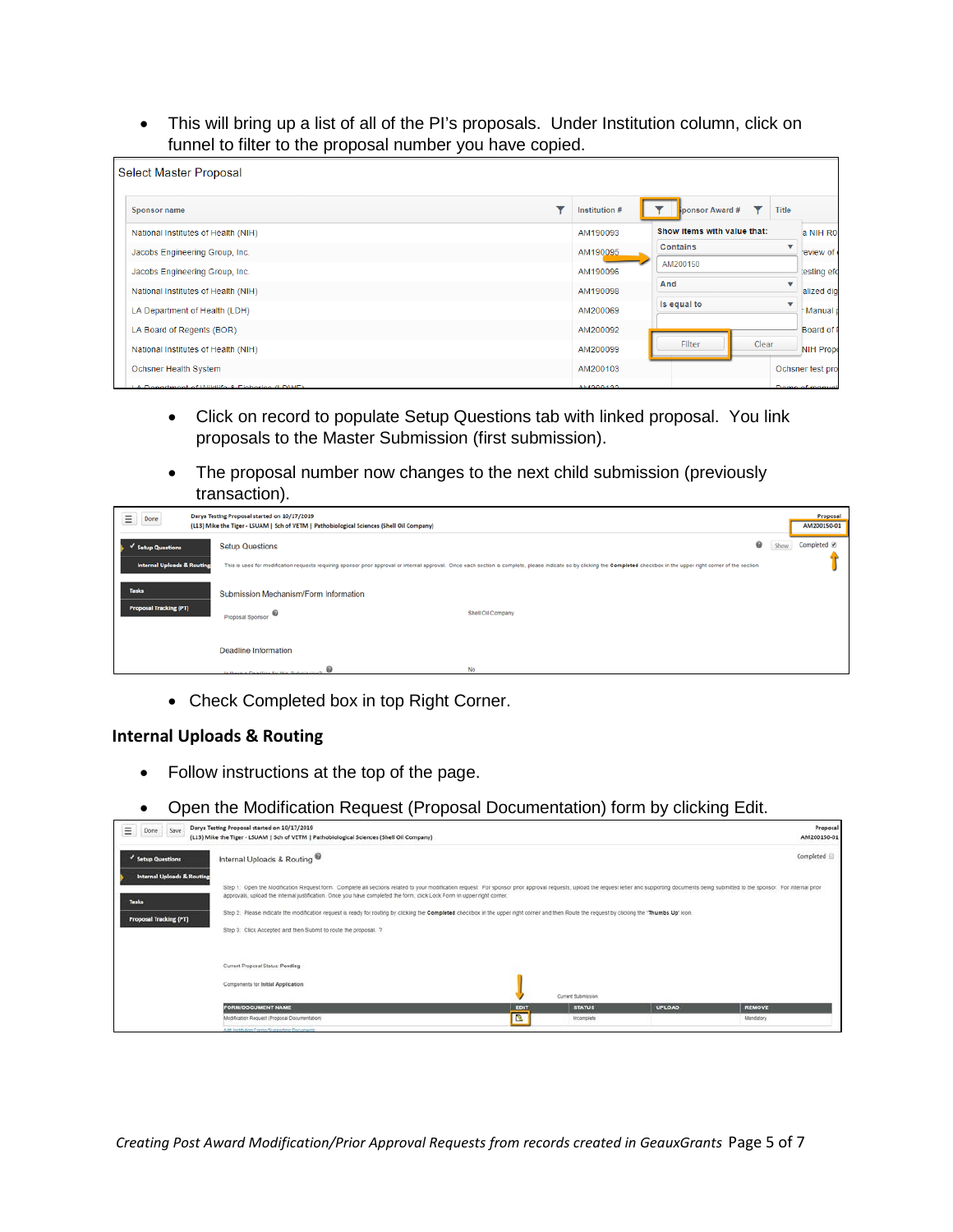• This will bring up a list of all of the PI's proposals. Under Institution column, click on funnel to filter to the proposal number you have copied.

|              | <b>Select Master Proposal</b>                 |               |                             |       |              |                  |
|--------------|-----------------------------------------------|---------------|-----------------------------|-------|--------------|------------------|
| Sponsor name |                                               | Institution # | ponsor Award #              |       | <b>Title</b> |                  |
|              | National Institutes of Health (NIH)           | AM190093      | Show items with value that: |       |              | a NIH R01        |
|              | Jacobs Engineering Group, Inc.                | AM190095      | <b>Contains</b>             |       | v            | review of        |
|              | Jacobs Engineering Group, Inc.                | AM190096      | AM200150                    |       |              | lesting efc      |
|              | National Institutes of Health (NIH)           | AM190098      | And                         |       | v            | alized dig       |
|              | LA Department of Health (LDH)                 | AM200069      | Is equal to                 |       |              | Manual p         |
|              | LA Board of Regents (BOR)                     | AM200092      |                             |       |              | Board of F       |
|              | National Institutes of Health (NIH)           | AM200099      | <b>Filter</b>               | Clear |              | <b>NIH Prope</b> |
|              | Ochsner Health System                         | AM200103      |                             |       |              | Ochsner test pro |
|              | LA Donortmont of Wildlife, 9 Fisherica /LDWF\ | 0.11000400    |                             |       |              | Dome of monual   |

- Click on record to populate Setup Questions tab with linked proposal. You link proposals to the Master Submission (first submission).
- The proposal number now changes to the next child submission (previously transaction).

| Ξ<br>Done                                                  | Darya Testing Proposal started on 10/17/2019<br>(L13) Mike the Tiger - LSUAM   Sch of VETM   Pathobiological Sciences (Shell Oil Company) |                                                                                                                                                                                                                              |   | Proposal<br>AM200150-01 |
|------------------------------------------------------------|-------------------------------------------------------------------------------------------------------------------------------------------|------------------------------------------------------------------------------------------------------------------------------------------------------------------------------------------------------------------------------|---|-------------------------|
| v Setup Questions<br><b>Internal Uploads &amp; Routing</b> | <b>Setup Questions</b>                                                                                                                    | This is used for modification requests requiring sponsor prior approval or internal approval. Once each section is complete, please indicate so by clicking the Completed checkbox in the upper right corner of the section. | ◉ | Completed <b></b> €     |
| <b>Tasks</b><br><b>Proposal Tracking (PT)</b>              | Submission Mechanism/Form Information<br>$\boldsymbol{\Theta}$<br>Proposal Sponsor                                                        | Shell Oil Company                                                                                                                                                                                                            |   |                         |
|                                                            | <b>Deadline Information</b>                                                                                                               |                                                                                                                                                                                                                              |   |                         |
|                                                            | le there a Deartline for this Submission?                                                                                                 | No                                                                                                                                                                                                                           |   |                         |

• Check Completed box in top Right Corner.

### **Internal Uploads & Routing**

- Follow instructions at the top of the page.
- Open the Modification Request (Proposal Documentation) form by clicking Edit.

| Ξ<br>Save<br>Done                                                                      | Darya Testing Proposal started on 10/17/2019<br>(L13) Mike the Tiger - LSUAM   Sch of VETM   Pathobiological Sciences (Shell Oil Company)                                                                                                                                                                                                                                                                                                                                                                                                                                                                                     |           |                                                   |               | Proposal<br>AM200150-01    |
|----------------------------------------------------------------------------------------|-------------------------------------------------------------------------------------------------------------------------------------------------------------------------------------------------------------------------------------------------------------------------------------------------------------------------------------------------------------------------------------------------------------------------------------------------------------------------------------------------------------------------------------------------------------------------------------------------------------------------------|-----------|---------------------------------------------------|---------------|----------------------------|
| Setup Questions                                                                        | Internal Uploads & Routing                                                                                                                                                                                                                                                                                                                                                                                                                                                                                                                                                                                                    |           |                                                   |               | Completed                  |
| <b>Internal Uploads &amp; Routing</b><br><b>Tasks</b><br><b>Proposal Tracking (PT)</b> | Step 1: Open the Modification Request form Complete all sections related to your modification request. For sponsor prior approval requests, upload the request letter and supporting documents being submitted to the sponsor.<br>approvals, upload the infernal justification. Once you have completed the form, click Lock Form in upper right comer.<br>Step 2: Please indicate the modification request is ready for routing by clicking the Completed checkbox in the upper right corner and then Route the request by clicking the "Thumbs Up" icon.<br>Step 3: Click Accepted and then Submit to route the proposal. ? |           |                                                   |               |                            |
|                                                                                        | Current Proposal Status: Pending<br>Components for Initial Application                                                                                                                                                                                                                                                                                                                                                                                                                                                                                                                                                        |           |                                                   |               |                            |
|                                                                                        | <b>FORM/DOCUMENT NAME</b><br>Modification Request (Proposal Documentation)<br><b>Add Institution Forms/Supporting Documents</b>                                                                                                                                                                                                                                                                                                                                                                                                                                                                                               | EDIT<br>B | Current Submission<br><b>STATUS</b><br>Incomplete | <b>UPLOAD</b> | <b>REMOVE</b><br>Mandatory |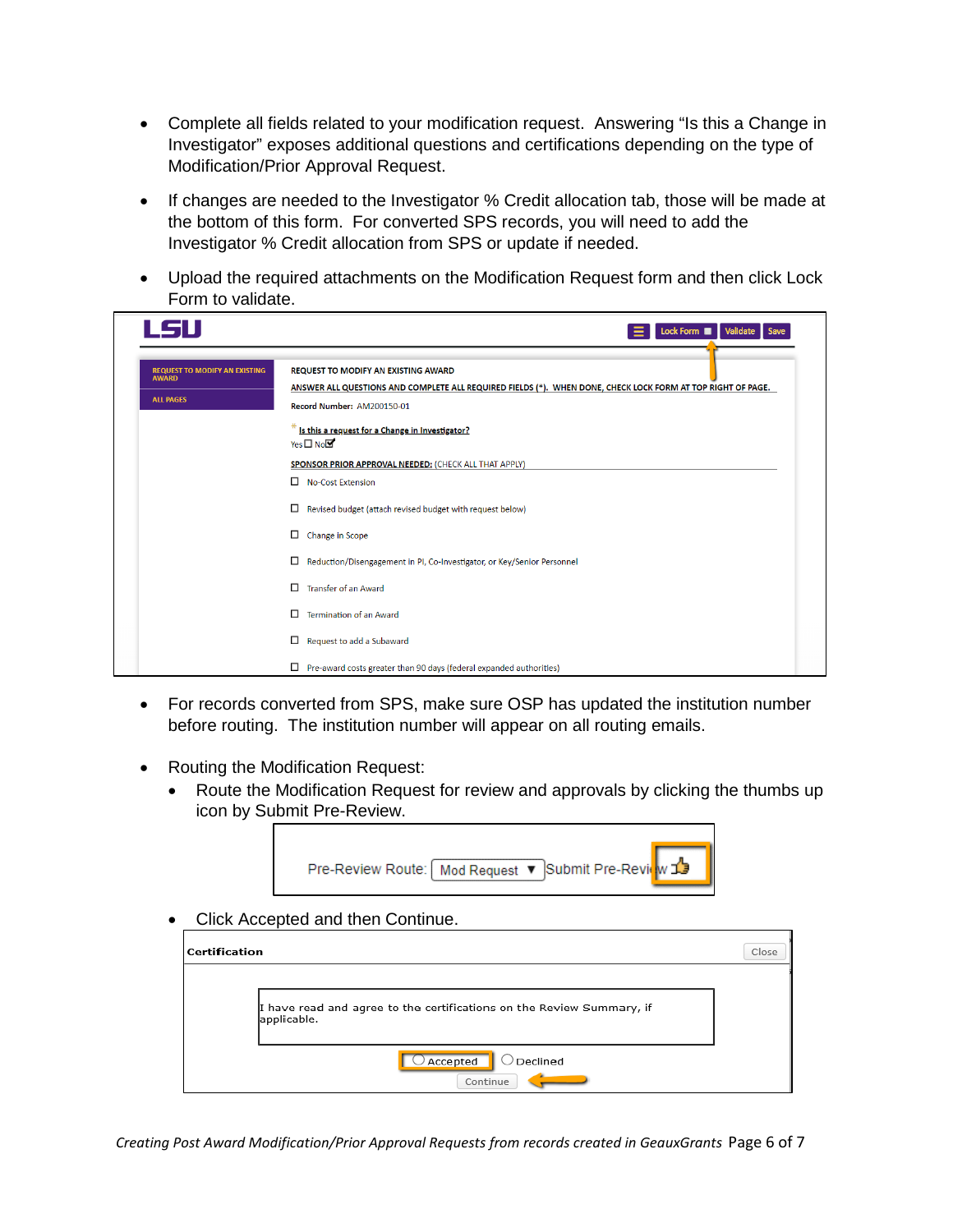- Complete all fields related to your modification request. Answering "Is this a Change in Investigator" exposes additional questions and certifications depending on the type of Modification/Prior Approval Request.
- If changes are needed to the Investigator % Credit allocation tab, those will be made at the bottom of this form. For converted SPS records, you will need to add the Investigator % Credit allocation from SPS or update if needed.
- Upload the required attachments on the Modification Request form and then click Lock Form to validate.

| LSU                                                                      | Lock Form<br>Validate<br>Save                                                                                                                                                           |
|--------------------------------------------------------------------------|-----------------------------------------------------------------------------------------------------------------------------------------------------------------------------------------|
| <b>REQUEST TO MODIFY AN EXISTING</b><br><b>AWARD</b><br><b>ALL PAGES</b> | <b>REQUEST TO MODIFY AN EXISTING AWARD</b><br>ANSWER ALL QUESTIONS AND COMPLETE ALL REQUIRED FIELDS (*). WHEN DONE, CHECK LOCK FORM AT TOP RIGHT OF PAGE.<br>Record Number: AM200150-01 |
|                                                                          | Is this a request for a Change in Investigator?<br>Yes□No                                                                                                                               |
|                                                                          | SPONSOR PRIOR APPROVAL NEEDED: (CHECK ALL THAT APPLY)                                                                                                                                   |
|                                                                          | No-Cost Extension                                                                                                                                                                       |
|                                                                          | □<br>Revised budget (attach revised budget with request below)                                                                                                                          |
|                                                                          | □<br>Change in Scope                                                                                                                                                                    |
|                                                                          | □<br>Reduction/Disengagement in PI, Co-Investigator, or Key/Senior Personnel                                                                                                            |
|                                                                          | Π<br><b>Transfer of an Award</b>                                                                                                                                                        |
|                                                                          | □<br><b>Termination of an Award</b>                                                                                                                                                     |
|                                                                          | □<br>Request to add a Subaward                                                                                                                                                          |
|                                                                          | □<br>Pre-award costs greater than 90 days (federal expanded authorities)                                                                                                                |

- For records converted from SPS, make sure OSP has updated the institution number before routing. The institution number will appear on all routing emails.
- Routing the Modification Request:
	- Route the Modification Request for review and approvals by clicking the thumbs up icon by Submit Pre-Review.



• Click Accepted and then Continue.

| <b>Certification</b> | Close                                                                                |
|----------------------|--------------------------------------------------------------------------------------|
|                      | I have read and agree to the certifications on the Review Summary, if<br>applicable. |
|                      | Declined<br>$\bigcirc$ Accepted<br>Continue                                          |